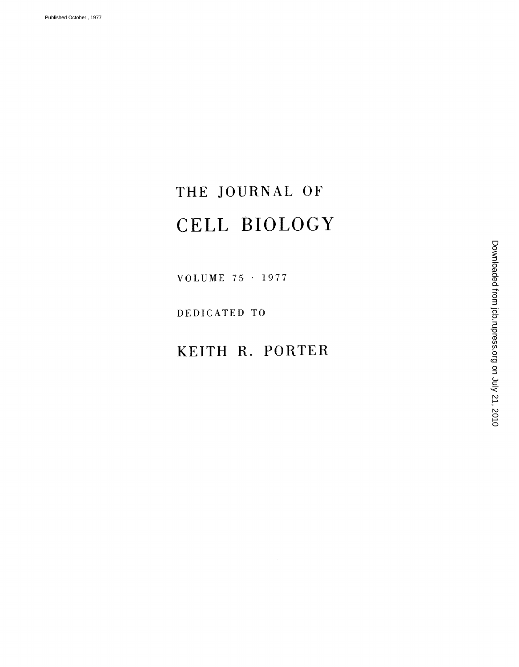# THE JOURNAL OF CELL BIOLOGY

VOLUME 75 . 1977

DEDICATED TO

KEITH R. PORTER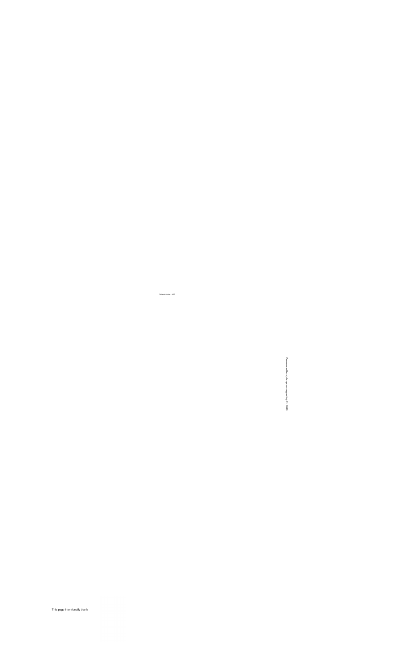This page intentionally blank

 $\sim$   $\sim$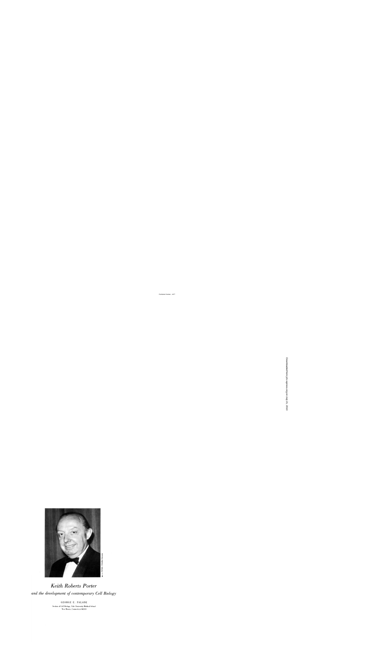

# Keith Roberts Porter and the development of contemporary Cell Biology

GEORGE E. PALADE

Section of Cell Biology, Yale University Medical School New Haven, Connecticut 06510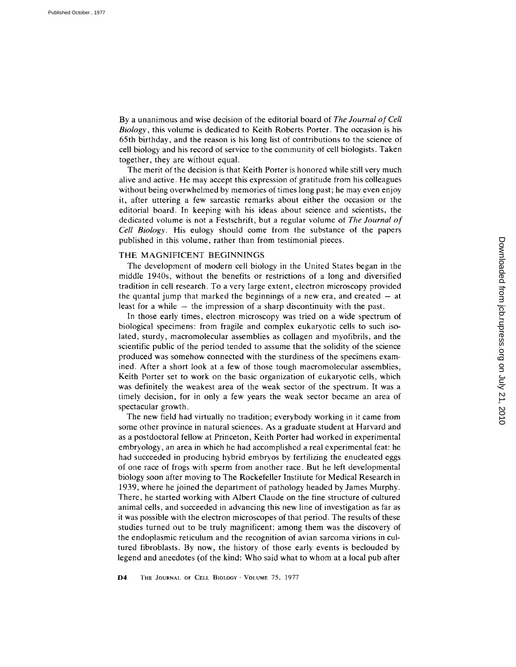By a unanimous and wise decision of the editorial board of *The Journal of Cell Biology,* this volume is dedicated to Keith Roberts Porter. The occasion is his 65th birthday, and the reason is his long list of contributions to the science of cell biology and his record of service to the community of cell biologists. Taken together, they are without equal.

The merit of the decision is that Keith Porter is honored while still very much alive and active. He may accept this expression of gratitude from his colleagues without being overwhelmed by memories of times long past; he may even enjoy it, after uttering a few sarcastic remarks about either the occasion or the editorial board. In keeping with his ideas about science and scientists, the dedicated volume is not a Festschrift, but a regular volume of *The Journal of Cell Biology.* His eulogy should come from the substance of the papers published in this volume, rather than from testimonial pieces.

#### THE MAGNIFICENT BEGINNINGS

The development of modern cell biology in the United States began in the middle 1940s, without the benefits or restrictions of a long and diversified tradition in cell research. To a very large extent, electron microscopy provided the quantal jump that marked the beginnings of a new era, and created  $-$  at least for a while  $-$  the impression of a sharp discontinuity with the past.

In those early times, electron microscopy was tried on a wide spectrum of biological specimens: from fragile and complex eukaryotic cells to such isolated, sturdy, macromolecular assemblies as collagen and myofibrils, and the scientific public of the period tended to assume that the solidity of the science produced was somehow connected with the sturdiness of the specimens examined. After a short look at a few of those tough macromolecular assemblies, Keith Porter set to work on the basic organization of eukaryotic cells, which was definitely the weakest area of the weak sector of the spectrum. It was a timely decision, for in only a few years the weak sector became an area of spectacular growth.

The new field had virtually no tradition; everybody working in it came from some other province in natural sciences. As a graduate student at Harvard and as a postdoctoral fellow at Princeton, Keith Porter had worked in experimental embryology, an area in which he had accomplished a real experimental feat: he had succeeded in producing hybrid embryos by fertilizing the enucleated eggs of one race of frogs with sperm from another race. But he left developmental biology soon after moving to The Rockefeller Institute for Medical Research in 1939, where he joined the department of pathology headed by James Murphy. There, he started working with Albert Claude on the fine structure of cultured animal cells, and succeeded in advancing this new line of investigation as far as it was possible with the electron microscopes of that period. The results of these studies turned out to be truly magnificent: among them was the discovery of the endoplasmic reticulum and the recognition of avian sarcoma virions in cultured fibroblasts. By now, the history of those early events is beclouded by legend and anecdotes (of the kind: Who said what to whom at a local pub after

THE JOURNAL OF CELL BIOLOGY · VOLUME 75, 1977  $\overline{D}$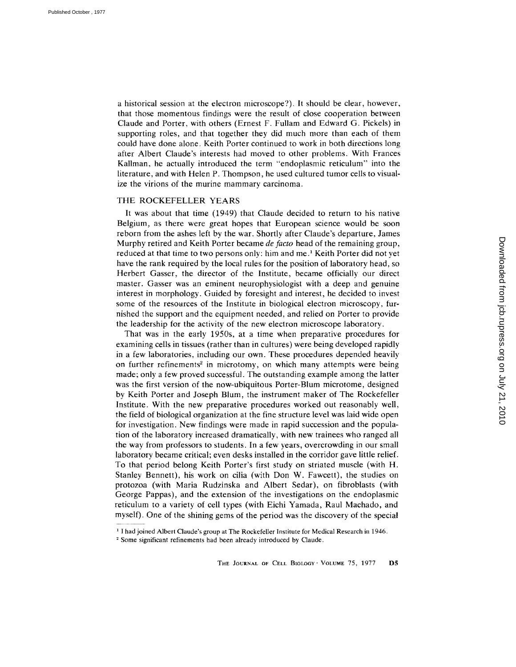a historical session at the electron microscope?). It should be clear, however, that those momentous findings were the result of close cooperation between Claude and Porter, with others (Ernest F. Fullam and Edward *G.* Pickels) in supporting roles, and that together they did much more than each of them could have done alone. Keith Porter continued to work in both directions long after Albert Claude's interests had moved to other problems. With Frances Kallman, he actually introduced the term "endoplasmic reticulum" into the literature, and with Helen P. Thompson, he used cultured tumor cells to visualize the virions of the murine mammary carcinoma.

## THE ROCKEFELLER YEARS

It was about that time (1949) that Claude decided to return to his native Belgium, as there were great hopes that European science would he soon reborn from the ashes left by the war. Shortly after Claude's departure, James Murphy retired and Keith Porter became *de* **facto** head of the remaining group, reduced at that time to two persons only: him and me.' Keith Porter did not yet have the rank required by the local rules for the position of laboratory head, so Herbert Gasser, the director of the Institute, became officially our direct master. Gasser was an eminent neurophysiologist with a deep and genuine interest in morphology. Guided by foresight and interest, he decided to invest some of the resources of the Institute in biological electron microscopy, furnished the support and the equipment needed, and relied on Porter to provide the leadership for the activity of the new electron microscope laboratory.

That was in the early 1950s, at a time when preparative procedures for examining cells in tissues (rather than in cultures) were being developed rapidly in a few laboratories, including our own. These procedures depended heavily on further refinements<sup>2</sup> in microtomy, on which many attempts were being made; only a few proved successful. The outstanding example among the latter was the first version of the now-ubiquitous Porter-Blum microtome, designed by Keith Porter and Joseph Blum, the instrument maker of The Rockefeller Institute. With the new preparative procedures worked out reasonably well, the field of biological organization at the fine structure level was laid wide open for investigation. New findings were made in rapid succession and the population of the laboratory increased dramatically, with new trainees who ranged all the way from professors to students. In a few years, overcrowding in our small laboratory became critical; even desks installed in the corridor gave little relief. To that period belong Keith Porter's first study on striated muscle (with H. Stanley Bennett), his work on cilia (with Don W. Fawcett), the studies on protozoa (with Maria Rudzinska and Albert Sedar), on fibroblasts (with George Pappas), and the extension of the investigations on the endoplasmic reticulum to a variety of cell types (with Eichi Yamada, Raul Machado, and myself). One of the shining gems of the period was the discovery of the special

<sup>&</sup>lt;sup>1</sup> I had joined Albert Claude's group at The Rockefeller Institute for Medical Research in 1946.

<sup>&</sup>lt;sup>2</sup> Some significant refinements had been already introduced by Claude.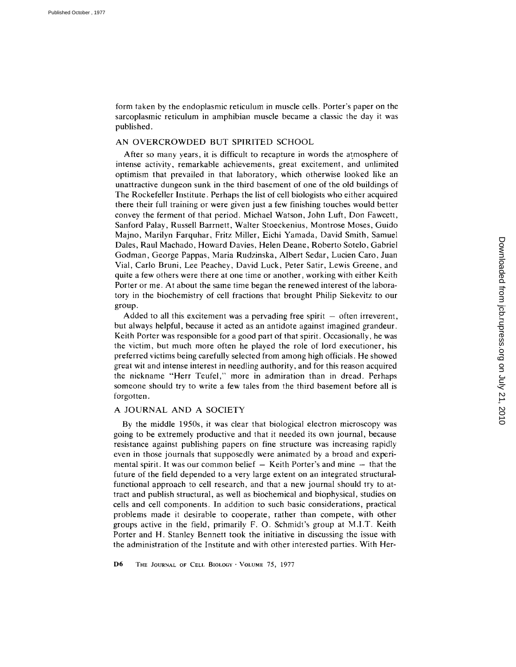form taken by the endoplasmic reticulum in muscle cells. Porter's paper on the sarcoplasmic reticulum in amphibian muscle became a classic the day it was published.

## AN OVERCROWDED BUT SPIRITED SCHOOL

After so many years, it is difficult to recapture in words the atmosphere of intense activity, remarkable achievements, great excitement, and unlimited optimism that prevailed in that laboratory, which otherwise looked like an unattractive dungeon sunk in the third basement of one of the old buildings of The Rockefeller Institute. Perhaps the list of cell biologists who either acquired there their full training or were given just a few finishing touches would better convey the ferment of that period. Michael Watson, John Luft, Don Fawcett, Sanford Palay, Russell Barrnett, Walter Stoeckenius. Montrose Moses, Guido Majno, Marilyn Farquhar, Fritz Miller, Eichi Yamada, David Smith, Samuel Dales, Raul Machado, Howard Davies, Helen Deane, Roberto Sotelo, Gabriel Godman, George Pappas, Maria Rudzinska, Albert Sedar, Lucien Caro, Juan Vial, Carlo Bruni, Lee Peachey, David Luck. Peter Satir, Lewis Greene, and quite a few others were there at one time or another, working with either Keith Porter or me. At about the same time began the renewed interest of the laboratory in the biochemistry of cell fractions that brought Philip Siekevitz to our group.

Added to all this excitement was a pervading free spirit  $-$  often irreverent, but always helpful, because it acted as an antidote against imagined grandeur. Keith Porter was responsible for a good part of that spirit. Occasionally, he was the victim, but much more often he played the role of lord executioner, his preferred victims being carefully selected from among high officials. He showed great wit and intense interest in needling authority, and for this reason acquired the nickname "Herr Teufel," more in admiration than in dread. Perhaps someone should try to write a few tales from the third basement before all is forgotten.

# A JOURNAL AND A SOCIETY

By the middle 1950s, it was clear that biological electron microscopy was going to be extremely productive and that it needed its own journal, because resistance against publishing papers on fine structure was increasing rapidly even in those journals that supposedly were animated by a broad and experimental spirit. It was our common belief  $-$  Keith Porter's and mine  $-$  that the future of the field depended to a very large extent on an integrated structuralfunctional approach to cell research, and that a new journal should try to attract and publish structural, as well as biochemical and biophysical, studies on cells and cell components. In addition to such basic considerations, practical problems made it desirable to cooperate, rather than compete, with other groups active in the field, primarily F. 0. Schmidt's group at M.I.T. Keith Porter and **H.** Stanley Bennett took the initiative in discussing the issue with the administration of the Institute and with other interested parties. With Her-

D6 THE JOURNAL OF CELL BIOLOGY · VOLUME 75, 1977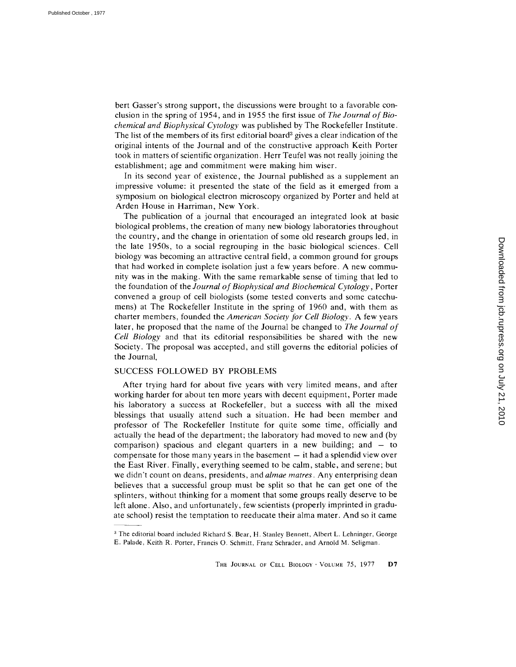bert Gasser's strong support, the discussions were brought to a favorable conclusion in the spring of 1954, and in 1955 the first issue of *The Journal of Biochemical and Biophysical Cytology* was published by The Rockefeller Institute. The list of the members of its first editorial board<sup>3</sup> gives a clear indication of the original intents of the Journal and of the constructive approach Keith Porter took in matters of scientific organization. Herr Teufel was not really joining the establishment; age and commitment were making him wiser.

In its second year of existence, the Journal published as a supplement an impressive volume: it presented the state of the field as it emerged from a symposium on biological electron microscopy organized by Porter and held at Arden House in Harriman, New York.

The publication of a journal that encouraged an integrated look at basic biological problems, the creation of many new biology laboratories throughout the country, and the change in orientation of some old research groups led, in the late 1950s, to a social regrouping in the basic biological sciences. Cell biology was becoming an attractive central field, a common ground for groups that had worked in complete isolation just a few years before. A new community was in the making. With the same remarkable sense of timing that led to the foundation of the *Journal of Biophysical and Biochemical Cytology,* Porter convened a group of cell biologists (some tested converts and some catechumens) at The Rockefeller Institute in the spring of 1960 and, with them as charter members, founded the *American Society for Cell Biology.* A few years later, he proposed that the name of the Journal be changed to *The Journal of Cell Biology* and that its editorial responsibilities be shared with the new Society. The proposal was accepted, and still governs the editorial policies of the Journal,

# SUCCESS FOLLOWED BY PROBLEMS

After trying hard for about five years with very limited means, and after working harder for about ten more years with decent equipment, Porter made his laboratory a success at Rockefeller, but a success with all the mixed blessings that usually attend such a situation. He had been member and professor of The Rockefeller Institute for quite some time, officially and actually the head of the department; the laboratory had moved to new and (by comparison) spacious and elegant quarters in a new building; and  $-$  to compensate for those many years in the basement  $-$  it had a splendid view over the East River. Finally, everything seemed to be calm, stable, and serene; but we didn't count on deans, presidents, and *almae matres.* Any enterprising dean believes that a successful group must be split so that he can get one of the splinters, without thinking for a moment that some groups really deserve to be left alone. Also, and unfortunately, few scientists (properly imprinted in graduate school) resist the temptation to reeducate their alma mater. And so it came

The editorial board included Richard S. Bear, H. Stanley Bennett, Albert L. Lehninger, George E. Palade. Keith R. Porter, Francis 0. Schmitt, Franz Schrader, and Arnold M. Seligman.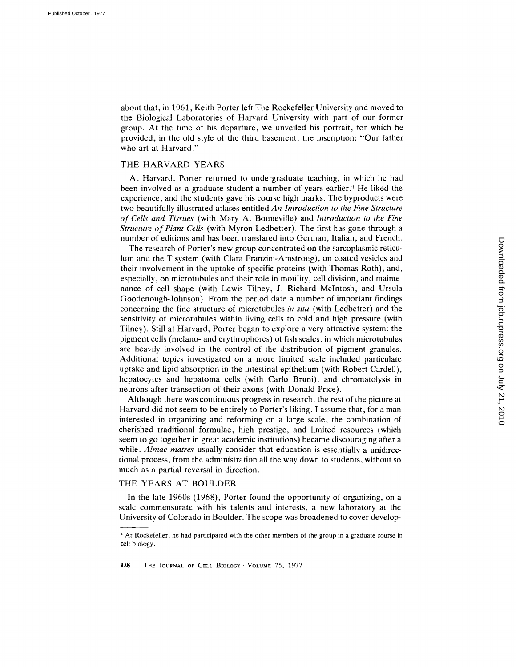about that, in 1961, Keith Porter left The Rockefeller University and moved to the Biological Laboratories of Harvard University with part of our former group. At the time of his departure, we unveiled his portrait, for which he provided, in the old style of the third basement, the inscription: "Our father who art at Harvard."

## THE HARVARD YEARS

At Harvard, Porter returned to undergraduate teaching, in which he had been involved as a graduate student a number of years earlier? He liked the experience, and the students gave his course high marks. The byproducts were two beautifully illustrated atlases entitled *An Introduction to the Fine Structure of Cells and Tissues* (with Mary A. Bonneville) and *Introduction to the Fine Structure of Plant Cells* (with Myron Ledbetter). The first has gone through a number of editions and has been translated into German, Italian, and French.

The research of Porter's new group concentrated on the sarcoplasmic reticulum and the T system (with Clara Franzini-Amstrong), on coated vesicles and their involvement in the uptake of specific proteins (with Thomas Roth), and, especially, on microtubules and their role in motility, cell division, and maintenance of cell shape (with Lewis Tilney, J. Richard McIntosh, and Ursula Goodenough-Johnson). From the period date a number of important findings concerning the fine structure of microtubules *in situ* (with Ledbetter) and the sensitivity of microtubules within living cells to cold and high pressure (with Tilney). Still at Harvard, Porter began to explore a very attractive system: the pigment cells (melano- and erythrophores) of fish scales, in which microtubules are heavily involved in the control of the distribution of pigment granules. Additional topics investigated on a more limited scale included particulate uptake and lipid absorption in the intestinal epithelium (with Robert Cardell), hepatocytes and hepatoma cells (with Carlo Bruni), and chromatolysis in neurons after transection of their axons (with Donald Price).

Although there was continuous progress in research, the rest of the picture at Harvard did not seem to be entirely to Porter's liking. I assume that, for a man interested in organizing and reforming on a large scale, the combination of cherished traditional formulae, high prestige, and limited resources (which seem to go together in great academic institutions) became discouraging after a while. *Almae matres* usually consider that education is essentially a unidirectional process, from the administration all the way down to students, without so much as a partial reversal in direction.

# THE YEARS AT BOULDER

In the late 1960s (1968), Porter found the opportunity of organizing, on a scale commensurate with his talents and interests, a new laboratory at the University of Colorado in Boulder. The scope was broadened to cover develop-

<sup>&#</sup>x27;Â At Rockefeller, he had participated with the other members of the group in a graduate course in cell biology.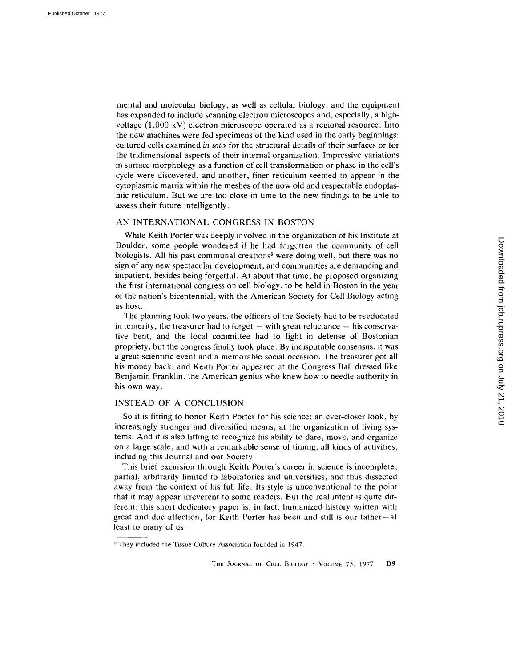mental and molecular biology, as well as cellular biology, and the equipment has expanded to include scanning electron microscopes and, especially, a highvoltage (1,000 kV) electron microscope operated as a regional resource. Into the new machines were fed specimens of the kind used in the early beginnings: cultured cells examined *in toto* for the structural details of their surfaces or for the tridimensional aspects of their internal organization. Impressive variations in surface morphology as a function of cell transformation or phase in the cell's cycle were discovered, and another, finer reticulum seemed to appear in the cytoplasmic matrix within the meshes of the now old and respectable endoplasmic reticulum. But we are too close in time to the new findings to be able to assess their future intelligently.

## AN INTERNATIONAL CONGRESS IN BOSTON

While Keith Porter was deeply involved in the organization of his Institute at Boulder. some people wondered if he had forgotten the community of cell biologists. All his past communal creations<sup>5</sup> were doing well, but there was no sign of any new spectacular development, and communities are demanding and impatient, besides being forgetful. At about that time, he proposed organizing the first international congress on cell biology, to be held in Boston in the year of the nation's bicentennial, with the American Society for Cell Biology acting as host.

The planning took two years, the officers of the Society had to be reeducated in temerity, the treasurer had to forget  $-$  with great reluctance  $-$  his conservative bent, and the local committee had to fight in defense of Bostonian propriety, but the congress finally took place. By indisputable consensus, it was a great scientific event and a memorable social occasion. The treasurer got all his money back, and Keith Porter appeared at the Congress Ball dressed like Benjamin Franklin, the American genius who knew how to needle authority in his own way.

# INSTEAD OF A CONCLUSION

So it is fitting to honor Keith Porter for his science: an ever-closer look, by increasingly stronger and diversified means, at the organization of living systems. And it is also fitting to recognize his ability to dare, move, and organize on a large scale, and with a remarkable sense of timing, all kinds of activities, including this Journal and our Society.

This brief excursion through Keith Porter's career in science is incomplete, partial, arbitrarily limited to laboratories and universities, and thus dissected away from the context of his full life. Its style is unconventional to the point that it may appear irreverent to some readers. But the real intent is quite different: this short dedicatory paper is, in fact, humanized history written with great and due affection, for Keith Porter has been and still is our father-at least to many of us.

**They included the Tissue Culture Association founded in 1947.**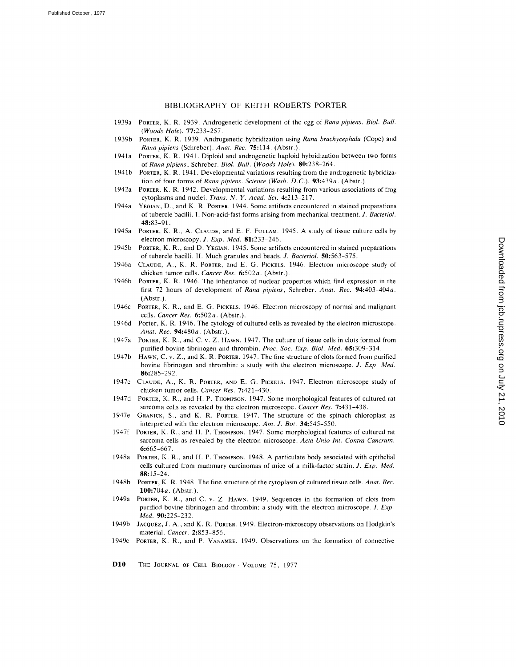#### BIBLIOGRAPHY OF KEITH ROBERTS PORTER

- PORTER, K. R. *1939.* Androgenetic development of the egg of *Rana pipiens. Biol. Bull.*  1939a *(Woods Hole). 77:233-257.*
- PORTER, K. R. *1939.* Androgenetic hybridization using *Rana brachycephala* (Cope) and *Rana pipiens* (Schreber). *Anat. Rec. 75:114.* (Abstr.).
- PORTER, K. R. *1941.* Diploid and androgenetic haploid hybridization between two forms of *Rana pipiens,* Schreber. *Biol. Bull. (Woods Hole). 80:238-264.*
- 1941b Porter, K. R. 1941. Developmental variations resulting from the androgenetic hybridization of four forms of *Rana pipiens. Science (Wash. D.C.).* 93:439a. (Abstr.).
- PORTER, K. R. 1942. Developmental variations resulting from various associations of frog  $1942a$ cytoplasms and nuclei. *Trans.* N. *Y. Acad. Sci. 4:213-217.*
- YEGIAN, D., and K. R. PORTER. *1944.* Some artifacts encountered in stained preparations of tubercle bacilli. I. Non-acid-fast forms arising from mechanical treatment. *J. Bacteriol. 48:83-91.*
- PORTER, K. *R.,* A. CLAUDE, and E. F. FULLAM. *1945.* A study of tissue culture cells by electron microscopy. *J. Exp. Med. 81:233-246.*
- 1945b Porter, K. R., and D. Yegian. 1945. Some artifacts encountered in stained preparations of tubercle bacilli. **11.** Much granules and beads. *J. Bacterial. 50563-575.*
- CLAUDE, A,, K. R. PORTER, and E. G. PICKELS. *1946.* Electron microscope study of chicken tumor cells. *Cancer Res. 6502a.* (Abstr.).
- PORTER, *K.* R. *1946.* The inheritance of nuclear properties which find expression in the first *72* hours of development of *Rana pipiens,* Schreber. *Anat. Rec. 94:403-404a.*  (Abstr.).
- PORTER, *K.* R., and E. G. PICKELS. *1946.* Electron microscopy of normal and malignant cells. *Cancer Res. 6:502a.* (Abstr.).
- 1946d Porter, K. R. 1946. The cytology of cultured cells as revealed by the electron microscope. Anat. Rec. 94:480a. (Abstr.).
- 1947a Porter, K. R., and C. v. Z. HAWN. 1947. The culture of tissue cells in clots formed from purified bovine fibrinogen and thrombin. *Proc. Soc. Exp. Biol. Med. 65309-314.*
- HAWN, C. v. *Z.,* and K. R. PORTER. *1947.* The fine structure of clots formed from purified bovine fibrinogen and thrombin: a study with the electron microscope. *J. Exp. Med. 86:285-292.*
- CLAUDE, A,, K. R. PORTER, AND E. G. PICKELS. *1947.* Electron microscope study of chicken tumor cells. *Cancer Res. 7:421-430.*
- PORTER, K. R., and H. P. THOMPSON. *1947.* Some morphological features of cultured rat sarcoma cells as revealed by the electron microscope. *Cancer Res. 7:431-438.*
- 1947e GRANICK, S., and K. R. PORTER. 1947. The structure of the spinach chloroplast as interpreted with the electron microscope. Am. J. Bot. 34:545-550.
- PORTER, K. R., and H. P. THOMPSON. *1947.* Some morphological features of cultured rat sarcoma cells as revealed by the electron microscope. *Acta Unio Int. Contra Cancrum. 6:665-667.*
- PORTER, *K. R.,* and H. P. THOMPSON. *1948.* A particulate body associated with epithelial cells cultured from mammary carcinomas of mice of a milk-factor strain. *J. Exp. Med. 88:15-24.*
- PORTER, *K. R. 1948.* The fine structure of the cytoplasm of cultured tissue cells.Anat. *Rec. 100:704a.* (Abstr.).
- PORTER, K. R., and C. v. Z. HAWN. 1949. Sequences in the formation of clots from 1949a purified bovine fibrinogen and thrombin: a study with the electron microscope. *J. Exp. Med. 90:225-232.*
- JACQUEZ, J. A,, and K. R. PORTER. *1949.* Electron-microscopy observations on Hodgkin's material. *Cancer. 2:853-856.*
- 1949c PORTER, K. R., and P. VANAMEE. *1949.* Observations on the formation of connective
- $D10$ THE JOURNAL OF CELL BIOLOGY · VOLUME 75, 1977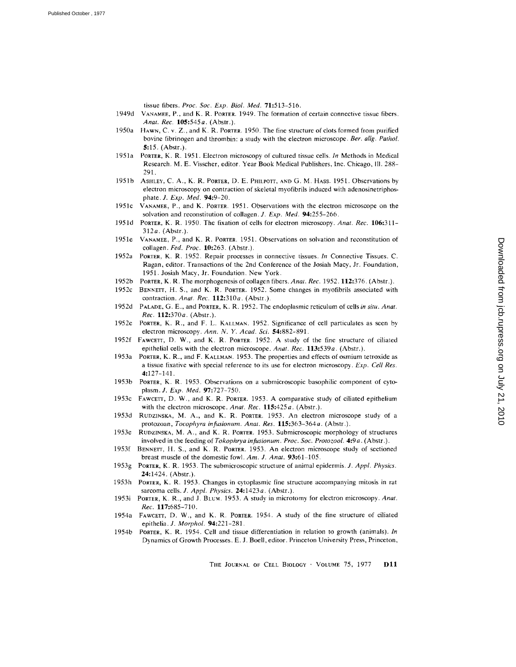tissue fibers. *Proc. Soc.* Exp. *Biol. Med. 71:513-5 16.* 

- 1949d VANAMEE, P., and K. R. PORTER. 1949. The formation of certain connective tissue fibers. *Anal. Rec. 105:545a.* (Ahstr.).
- HAWN, C. **v.** Z., and K. R. PORTER. *1950.* The tine structure of clots formed from purified bovine fibrinogen and thrombin: a study with the electron microscope. *Ber. dig. Pathol. 5:15.* (Abstr.).
- 1951a PORTER, K. R. *1951.* Electron microscopy of cultured tissue cells. *In* Methods in Medical Research. M. E. Visscher, editor. Year Book Medical Publishers, lnc. Chicago, 111. *288- 291.*
- ASHLEY, C. A., K. R. PORTER, D. E. PHILPOTT, AND G. M. HASS. *1951.* Observations by electron microscopy on contraction of skeletal myofibrils induced with adenosinetriphosphate. J. *Exp. Med. 94:9-20.*
- VANAMEE, P., and **K.** PORTER. *1951.* Observations with the electron microscope on the solvation and reconstitution of collagen. *J. Exp. Med.* 94:255-266.
- PORTER, **K.** R. *1950.* The fixation of cells for electron microscopy. *Anal. Rec. 106:311- 3120.* (Abstr.).
- VANAMEE, P., and K. R. PORTER. *1951.* Observations on solvation and reconstitution of collagen. *Fed. Proc. 10:263.* (Ahstr.).
- PORTER, K. R. *1952.* Repair processes in connective tissues. *In* Connective Tissues. C. Ragan, editor. Transactions of the 2nd Conference of the Josiah Macy, Jr. Foundation, *1951.* Josiah Macy, Jr. Foundation. New York.
- 1952b PORTER, K. R. The morphogenesis of collagen fibers. Anat. Rec. 1952. 112:376. (Abstr.).
- BENNETT, H. S., and K. R. PORTER. *1952.* Some changes in myofibrils associated with contraction. *Anal. Rec. 112:310a.* (Abstr.).
- PALADE. *G.* E., and PORTER, K. R. *1952.* The endoplasmic reticulum of cells *in situ. Anat. Rec. 112:370a.* (Abstr.).
- PORTER, K. R., and F. L. KALLMAN. *1952.* Significance of cell particulates as seen by electron microscopy. *Ann. N.* Y. *Acud. Sci. 54:882-891.*
- FAWCETT, D, W., and **K.** R. PORTER. *1952.* A study of the fine structure of ciliated epithelial cells with the electron microscope. Anat. Rec. 113:539a. (Abstr.).
- PORTER, **K.** R., and **F.** KALLMAN. *1953.* The properties and effects of osmium tetroxide as a tissue fixative with special reference to its use for electron microscopy. *Exp. Cell Res. 4:127-141.*
- PORTER, *K.* R. *1953.* Observations on a submicroscopic basophilic component of cytoplasm. J. Exp. *Med. 97:727-750.*
- FAWCETT, D. **W.,** and K. R. PORTER. *1953.* A comparative study of ciliated epithelium with the electron microscope. Anat. Rec. 115:425 a. (Abstr.).
- RUDZINSKA, M. A., and K. R. PORTER. *1953.* An electron microscope study of a protozoan, *Tocophyra infusionum. Anat. Res.* 115:363-364a. (Abstr.).
- RUDZINSKA, M. A., and **K.** R. PORTER. *1953.* Submicroscopic morphology of structures involved in the feeding of *Tokophrya infusionum. Proc. Soc. Protozool.* 4:9*a.* (Abstr.).
- BENNETT, H. S., and **K.** R. PORTER. *1953.* An electron microscope study of sectioned breast muscle of the domestic fowl. Am. **1** *Anal. 9361-105.*
- PORTER, **K.** R. *1953.* The submicroscopic structure of animal epidermis. **J.** Appl. *Physics. 241424.* (Ahstr.).
- PORTER, K. R. *1953.* Changes in cytoplasmic fine structure accompanying mitosis in rat sarcoma cells. J. Appl. *Physics. 24:1423a.* (Abstr.).
- PORTER, K. **R.,** and J. BLL'M. *1953.* A study in microtomy for electron microscopy. *Anaf. Rec. 117:685-710.*
- FAWCETT, D, W., and **K. R.** PORTER. *1954.* A study of the fine structure of ciliated epithelia. *J. Morphol.* **94:**221-281.
- 1954b PORTER, **K.** R. *1954.* Cell and tissue differentiation in relation to growth (animals). *In*  Dynamics of Growth Processes. E. J. Boell, editor. Princeton University Press, Princeton,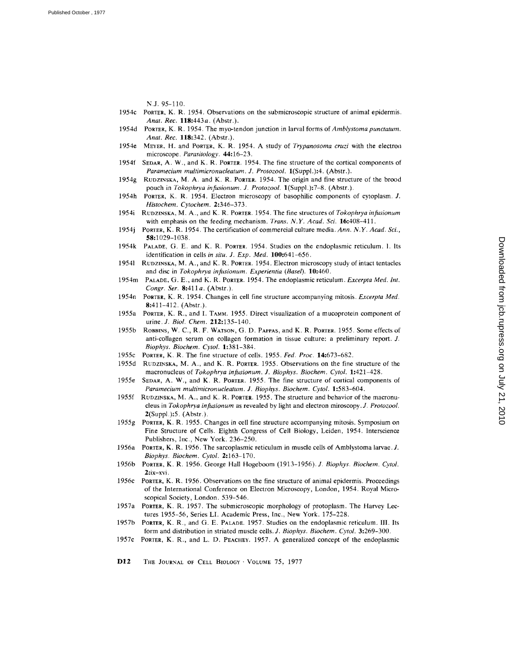**N.J.** 95-110.

- 1954c PORTER, K. R. 1954. Observations on the submicroscopic structure of animal epidermis. *Anaf. Rec.* 118:443a. (Abstr.).
- 1954d PORTER, K. R. 1954. The myo-tendon junction in larval forms of *Amblystoma punctatum. Anal. Rec.* 118:342. (Abstr.).
- 1954e MEYER, H. and PORTER, K. R. 1954. A study of *Trypanosoma cruz.i* with the electron microscope. *Parasitology.* 44: 16-23.
- 1954f SEDAR, A. **W.,** and K. R. PORTER. 1954. The fine structure of the cortical components of Paramecium multimicronucleatum. *J. Protozool.* 1(Suppl.):4. (Abstr.).
- 1954g RUDZINSKA, M. A. and K. R. PORTER. 1954. The origin and fine structure of the brood pouch in *Tokophrya infusionum. J. Protozool.* 1(Suppl.):7-8. (Abstr.).
- 1954h PORTER, **IS.** R. 1954. Electron microscopy of basophilic components of cytoplasm. J. *Histochem. Cytochem.* 2:346-373.
- 1954 RL'DZINSKA, M. **A.,** and K. R. PORTER. 1954. The fine structures of *Tokophrya infusionurn*  with emphasis on the feeding mechanism. *Trans. N.Y. Acad. Sci.* 16:408-411.
- 19541 PORTER, K. R. 1954. The certification of commercial culture media. *Ann.* N.Y. *Acud. Sci.,*  58:1029-1038.
- 1954k PALADE, G. E. and K. R. PORTER. 1954. Studies on the endoplasmic reticulum. 1. Its identification in cells in *situ. J. Exp. Med.* 100:641-656.
- 19541 RUDZINSKA, M. A., and K. R. PORTER. 1954. Electron microscopy study of intact tentacles and disc in *Tokophrya infusionurn. Experientia (Basel).* 10:460.
- 1954m PALADE, G. E., and K. R. PORTER. 1954. The endoplasmic reticulum. *Excerpta Med. Int. Congr. Ser.* **8:**411*a*. (Abstr.).
- 195411 PORTER, **K.** R. 1954. Changes in cell fine structure accompanying mitosis. *Excerpta Med.*  8:411-412. (Abstr.).
- 1955a PORTER, K. R., and 1. TAMM. 1955. Direct visualization of a mucoprotein component of urine. *J. Biol. Chem.* 212:135-140.
- 1955b ROBBIXS, **W.** C., R. F. WATSON, G. **D.** PAPPAS, and K. R. PORTER. 1955. Some effects of anti-collagen serum on collagen formation in tissue culture: a preliminary report. *J. Biophys. Biochem. Cytol.* 1:381-384.
- 1955c PORTER, K. R. The fine structure of cells. 1955. *Fed. Proc.* 14:673-682.
- 1955d RUDZINSKA, M. **A.,** and **K.** R. PORTER. 1955. Observations on the fine structure of the macronucleus of *Tokophrya infusionum. J. Biophys. Biochem. Cytol.* 1:421-428.
- 1955e SEDAR, A. **W.,** and K. R. PORTER. 1955. The fine structure of conical components of Paramecium multimicronucleatum. *J. Biophys. Biochem. Cytol.* 1:583-604.
- 1955f RUDZINSKA, M.A.. and K. **R.** PORTER. 1955. The structure and behavior of the macronucleus in *Tokophrya infusionum* as revealed by light and electron miroscopy. *J. Protozool.* 2(Suppl.):5. (Abstr.).
- 1955g PORTER, **K.** R. 1955. Changes in cell fine structure accompanying mitosis. Symposium on Fine Structure of Cells. Eighth Congress of Cell Biology, Leiden, 1954. Interscience Publishers, Inc., New York. 236-250.
- 1956a PORTER, K. R. 1956. The sarcoplasmic reticulum in muscle cells of Amhlystoma larvae. **J.**  *Biophys. Bwchem. Cyto/.* 2:163-170.
- 1956b PORTER, K. R. 1956. George Hall Hogeboom (1913-1956). **J.** *Biophys. Biochem Cytol.*  2:ix-xvi.
- 1956c PORTER, K. R. 1956. Observations on the fine structure of animal epidermis. Proceedings of the International Conference on Electron Microscopy, London, 1954. Royal Microscopical Society, London. 539-546.
- 1957a PORTER, K. R. 1957. The submicroscopic morphology of protoplasm. The Harvey Lectures 1955-56, Series LI. Academic Press, Inc., New York. 175-228.
- 1957b PORTER, **K.** R., and G. E. PALADE. 1957. Studies on the endoplasmic reticulum. 111. Its form and distribution in striated muscle cells. **J.** *Biophys. Biochem. Cytoi.* 3:269-300.
- 1957c PORTER, **K.** R., and L. D. PEACHEY. 1957. A generalized concept of the endoplasmic
- D12 THE JOURNAL OF CELL BIOLOGY · VOLUME 75, 1977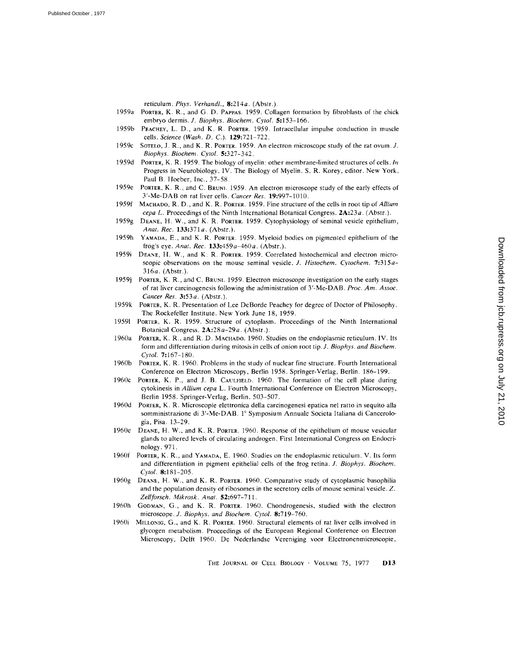reticulum. Phys. Verhandl., 8:214a. (Abstr.).

- 1959a PORTER, **K.** R., and *G.* D. PAPPAS. 1959. Collagen formation by fibroblasts of the chick embryo dermis. J. Biophys. Biochem. Cytol. 5:153-166.
- 1959b PEACHEY, L. D., and K. R. PORTER. 1959. Intracellular impulse conduction in muscle cells. Science (Wash. **D.** C.). 129:721-722.
- 1959c SOTELO, J. R., and **K.** R. PORTER. 1959. An electron microscope study of the rat ovum. J. Biophys. Biochem. Cytol. 5:327-342.
- 1959d PORTER, K. R. 1959. The biology of myelin: other membrane-limited structures of cells. In Progress in Neurobiology. IV. The Biology of Myelin. S. R. Korey, editor. New York, Paul B, Hoeber, Inc., 37-58.
- 1959e PORTER, **K.** R., and C. BRUNI. 1959. An electron microscope study of the early effects of 3'-Me-DAB on rat liver cells. Cancer Res. 19:997-1010.
- 1959f MACHADO, R. D.. and K. R. PORTER. 1959. Fine structure of the cells in root tip of Allium cepa *L.* Proceedings of the Ninth International Botanical Congress. 2A:23a. (Abstr.).
- 1959g DEANE, H. W., and **K.** R. PORTER. 1959. Cytophysiology of seminal vesicle epithelium, Anal. Rec. 133:371a. (Abstr.).
- 1959h YAMADA, E., and K. R. PORTER. 1959. Myeloid bodies on pigmented epithelium of the frog's eye. Anat. Rec. 133:459a-460a. (Abstr.).
- 1959i DEANE, H. W., and K. R. PORTER. 1959. Correlated histochemical and electron microscopic observations on the mouse seminal vesicle. J. Histochem. Cytochem. 7:315a-316a. (Abstr.).
- 19591 PORTER, K. R., and C. BRUNI. 1959. Electron microscope investigation on the early stages of rat liver carcinogenesis following the administration of 3'-Me-DAB. Proc. **Am.** Assoc. Cancer Res.  $3:53a$ . (Abstr.).
- 1959k PORTER, K. R. Presentation of Lee DeBorde Peachey for degree of Doctor of Philosophy. The Rockefeller Institute. New York June 18. 1959.
- 19591 PORTER, K. R. 1959. Structure of cytoplasm. Proceedings of the Ninth International Botanical Congress. 2A:28a-29a. (Abstr.).
- 1960a PORTER, K. R., and R. D. MACHADO. 1960. Studies on the endoplasmic reticulum. IV. Its form and differentiation during mitosis in cells of onion root tip. J. Biophys. and Biochem. Cytol. 7:167-180.
- 1960b PORTER, **K.** R. 1960. Problems in the study of nuclear fine structure. Fourth International Conference on Electron Microscopy, Berlin 1958. Springer-Verlag, Berlin. 186-199.
- 1960c PORTER, K. P.. and **J.** B. CAULFIELD. 1960. The formation of the cell plate during cytokinesis in Allium cepa L. Fourth International Conference on Electron Microscopy, Berlin 1958. Springer-Verlag, Berlin. 503-507.
- 1960d PORTER, K. R. Microscopic elettronica della carcinogenesi epatica nel ratto in sequito alla somministrazione di 3'-Me-DAB. 1' Symposium Annuale Societa Italiana di Cancerologia, Pisa. 13-29.
- 1960e DEANE, H. W., and K. R. PORTER. 1960. Response of the epithelium of mouse vesicular glands to altered levels of circulating androgen. First International Congress on Endocrinology. 971.
- 1960f PORTER, K. R., and YAMADA, E. 1960. Studies on the endoplasmic reticulum. V. Its form and differentiation in pigment epithelial cells of the frog retina. **J.** Biophys. Biochem. Cytol. 8:181-205.
- 1960g DEANE, H. W., and K. R. PORTER. 1960. Comparative study of cytoplasmic basophilia and the population density of ribosomes in the secretory cells of mouse seminal vesicle. Z. Zellforsch. Mikrosk. Anal. 52:697-711,
- 1960h GODMAN, G., and K. R. PORTER. 1960. Chondrogenesis, studied with the electron microscope. J. Biophys. and Biochem. Cytol. 8:719-760.
- 1960i MILLONIC, *G.,* and K. R. PORTER. 1960. Structural elements of rat liver cells involved in glycogen metabolism. Proceedings of the European Regional Conference on Electron Microscopy, Delft 1960. De Nederlandse Vereniging voor Elcctronenmicroscopie,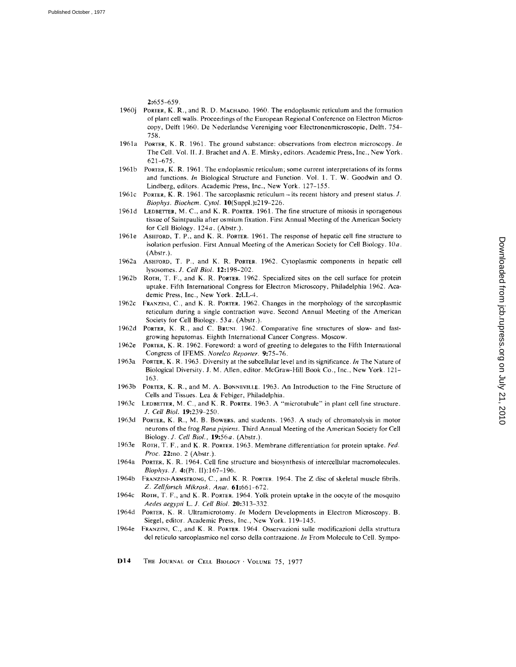2:655-659.

- 1960j PORTER, **K.** R., and **R.** D. MACHADO. 1960. The endoplasmic reticulum and the formation of plant cell walls. Proceedings of the European Regional Conference on Electron Microscopy, Delft 1960. De Nederlandse Vereniging voor Electronenmicroscopie, Delft. 754- 758.
- 1961a PORTER, K. R. 1961. The ground substance: observations from electron microscopy. In The Cell. Vol. II. J. Brachet and A. E. Mirsky, editors. Academic Press, Inc., New York. 621-675.
- 1961b PORTER, **K.** R. 1961. The endoplasmic reticulum; some current interpretations of its forms and functions. *In* Biological Structure and Function. Vol. 1. T. W. Goodwin and 0. Lindberg, editors. Academic Press, Inc., New York. 127-155.
- 1961c PORTER, K. R. 1961. The sarcoplasmic reticulum its recent history and present status. J. *Biophys. Biochem. Cytol.* 10(Suppl.):2 19-226.
- 1961d LEDBETTER, M. C., and K. R. PORTER. 1961. The fine structure of mitosis in sporagenous tissue of Saintpaulia after osmium fixation. First Annual Meeting of the American Society for Cell Biology. 124a. (Abstr.),
- 1961e ASHFORD, T. P., and K. R. PORTER. 1961. The response of hepatic cell fine structure to isolation perfusion. First Annual Meeting of the American Society for Cell Biology.  $10a$ . (Abstr.).
- 1962a ASHFORD, T. P., and K. R. PORTER. 1962. Cytoplasmic components in hepatic cell lysosomes. J. *Cell Biol.* 12:198-202.
- 1962b ROTH, T. F., and K. **R.** PORTER. 1962. Specialized sites on the cell surface lor protein uptake. Fifth International Congress for Electron Microscopy, Philadelphia 1962. Academic Press, Inc., New York. 2:LL-4.
- 1962c FRANZIM, *C.,* and K. **R.** PORTER. 1962. Changes in the morphology of the sarcoplasmic reticulum during a single contraction wave. Second Annual Meeting of the American Society for Cell Biology. 53a. (Abstr.).
- 1962d PORTER, K. R., and C. BRUNI. 1962. Comparative fine structures of slow- and fastgrowing hepatomas. Eighth International Cancer Congress. Moscow.
- 1962e PORTER, K. R. 1962. Foreword: a word of greeting to delegates to the Fifth International Congress of IFEMS. *Norelco Reporter*. 9:75-76.
- 1963a PORTER, **K.** R. 1963. Diversity at the subcellular level and its significance. *In* The Nature of Biological Diversity. **J.** M. Allen, editor. McGraw-Hill Book Co., Inc.. New York. 121- 163.
- 1963b PORTER, **K.** R., and M. A. BONNEVIILE. 1963. An Introduction to the Fine Structure of Cells and Tissues. Lea & Fcbiger, Philadelphia.
- 1963c LEDBETTER, M. C., and K. R. PORTER. 1963. A "microtubule" in plant cell fine structure. *J. Cell Biol.* 19:239-250.
- 1963d PORTER, **K.** R., M. B. BOWERS, and students. 1963. A study of chromatolysis in motor neurons of the frog *Rana pipiens.* Third Annual Meeting of the American Society for Cell Biology. *J. Cell Biol.*, 19:56a. (Abstr.).
- 1963e ROTH, T. F.. and K. R. PORTER. 1963. Membrane differentiation for protein uptake. *Fed. Proc.* 22:no. 2 (Abstr.).
- 1964a PORTER, K. R. 1964. Cell fine structure and biosynthesis of intercellular macromolecules. *Biophys. J.* &(Pi. II):167-196.
- 1964b FRAXZIM-ARMSTRONG. C.. and **K. R.** PORTER. 1964. The **Z** disc of skeletal muscle fibrils. *Z. Zellforsch Mikrosk. Anal.* 61:661-672.
- 1964c ROTH. T. F., and K. R. PORTER. 1964, Yolk protein uptake in the oocyte of the mosquito *Aedes aegypri* L. *J. Cell Bioi.* 20:313-332,
- 1964d PORTER, K. R. Ultramicrotomy. In Modern Developments in Electron Microscopy. B. Siege], editor. Academic Press, Inc., New York. 119-145.
- 1964e FRANZINI, C., and **K.** R. PORTER. 1964. Osservazioni sulle modificazioni della strutturd del reticule sarcoplasmico nel corso della contrazione. *In* From Molecule to Cell. Sympo-
- D<sub>14</sub> THE JOURNAL OF CELL BIOLOGY · VOLUME 75, 1977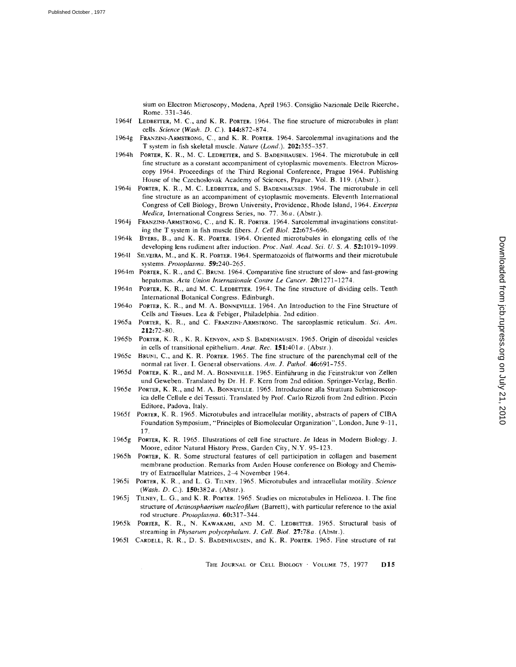sium on Electron Microscopy, Modena, April 1963. Consiglio Nazionale Delle Ricerche, Rome. 331-346.

- 1964f LEDBETTER, M.C., and K. R. PORTER. 1964. The fine structure of microtubules in plant cells. Science (Wash. **D.** C.). 144:872-874.
- 1964g FRANZINI-ARMSTRONG, C., and K. R. PORTER. 1964. Sarcolemmal invaginations and the T system in fish skeletal muscle. Nature *(Land.).* 202:355-357.
- 1964h PORTER, K. R., M. C. LEDBETIER, and S. BADENHAUSEN. 1964. The microtubule in cell fine structure as a constant accompaniment of cytoplasmic movements. Electron Microscopy 1964. Proceedings of the Third Regional Conference, Prague 1964. Publishing House of the Czechoslovak Academy of Sciences, Prague. Vol. B. 119. (Abstr.).
- 1964i PORTER, K. R., M. C. LEDBETTER, and S. BADENHAUSEN. 1964. The microtubule in cell fine structure as an accompaniment of cytoplasmic movements. Eleventh International Congress of Cell Biology, Brown University, Providence, Rhode Island, 1964. Excerpta Medica, International Congress Series, no. 77. 36a. (Abstr.).
- 1964j FRANZINI-ARMSTRONG, C., and K. R. PORTER. 1964. Sarcolemmal invaginations constituting the T system in fish muscle fibers. *J.* Cell Biol. 22:675-696.
- 1964k BYERS, B., and K. **R.** PORTER. 1964. Oriented microtubules in elongating cells of the developing lens rudiment after induction. Proc. Natl. Acad. Sci. U. S. A. 52:1019-1099.
- 19641 SILVEIRA, M., and K. R. PORTER. 1964. Spermatozoids of flatworms and their microtubule systems. Protoplasma. 59:240-265.
- 1964m PORTER, K. R., and C. BRUNI. 1964. Comparative fine structure of slow- and fast-growing hepatomas. Acta Union Internationale Contre Le Cancer. 20:1271-1274.
- 196411 PORTER, K. R., and M. C. LEDBETTER. 1964. The fine structure of dividing cells. Tenth International Botanical Congress. Edinburgh.
- 19640 PORTER, K. R., and M. A. BONNEVILLE. 1964. An Introduction to the Fine Structure of Cells and Tissues. Lea & Febiger, Philadelphia. 2nd edition.
- 1965a PORTER, K. R., and C. FRANZINI-ARMSTRONG. The sarcoplasmic reticulum. Sci. Am. 212:72-80.
- 196% PORTER, K. R., K. R. KENYON, AND S. BADENHAUSEN. 1965. Origin of discoidal vesicles in cells of transitional epithelium. Anal. Rec. 151:401a. (Abstr.).
- 1965c BRUNI, **C.,** and K. R. PORTER. 1965. The fine structure of the parenchymal cell of the normal rat liver. I. General observations. Am. *J.* Pathol. 46:691-755.
- 1965d PORTER, K. R., and M. A. BONNEVILLE. 1965. Einfuhrung in die Feinstruktur van Zellen und Geweben. Translated by Dr. **H.** F. Kern from 2nd edition. Springer-Verlag, Berlin.
- 1965e PORTER, K. R., and M. A. BONNEVILLE. 1965. Introduzione alla Struttura Submicroscopica delle Cellule e dei Tessuti. Translated by Prof. Carlo Rizzoli from 2nd edition. Piccin Editore, Padova, Italy.
- 1965f PORTER, K. R. 1965. Microtubules and intracellular motility, abstracts of papers of CIBA Foundation Symposium, "Principles of Biomolecular Organization", London, June 9-11, 17.
- PORTER, K. R. 1965. Illustrations of cell fine structure. In Ideas in Modern Biology. **J.**  Moore, editor Natural History Press. Garden City, N.Y. 95-123.
- 1965h PORTER, K. R. Some structural features of cell participation in collagen and basement membrane production. Remarks from Arden House conference on Biology and Chemistry of Extracellular Matrices, 2-4 November 1964.
- 1965i PORTER, K. R., and L. G. TILNEY. 1965. Microtubules and intracellular motility. Science (Wash. **D.** C.). 150:382u. (Abstr.).
- 1965j TILNEY, L. G., and K. R. PORTER. 1965. Studies on microtubules in Heliozoa. I. The fine structure of Actinosphaerium nucleofilum (Barrett), with particular reference to the axial rod structure. Protoplasma. 60:317-344.
- 1965k PORTER, K. R., N. KAWAKAMI, AND **M.** C. LEDBETTER. 1965. Structural basis of streaming in Physarum polycephalum. *J. Cell. Biol.* 27:78a. (Abstr.).
- 19651 CARDELL, R. **R.,** D. S. BADENHAUSEN, and K. R. PORTER. 1965. Fine structure of rat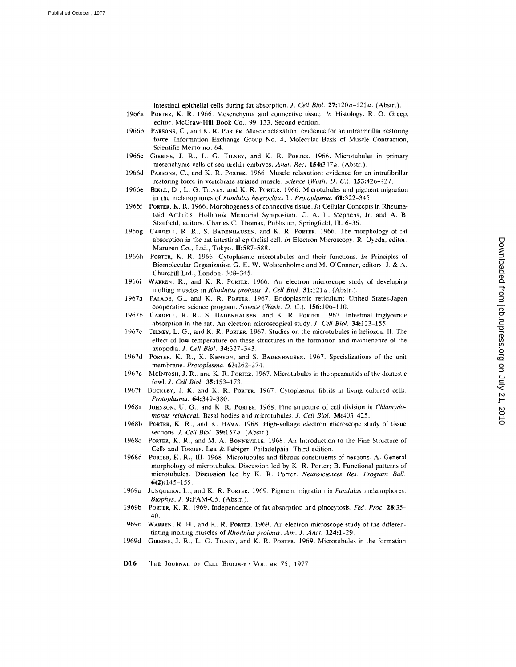intestinal epithelial cells during fat absorption. *J. Cell Biol.* **27:**120a-121a. (Abstr.).

- 1966a PORTER, K. R. 1966. Mesenchyma and connective tissue. In Histology. **R.** 0. Greep, editor. McGraw-Hill Book Co., 99-133. Second edition.
- 1966b PARSONS, C., and K. R. PORTER. Muscle relaxation: evidence for an intrafibrillar restoring force. Information Exchange Group No. 4, Molecular Basis of Muscle Contraction, Scientific Memo no. 64.
- 1966c GIBBINS, J. R., L. G. TILNEY, and K. R. PORTER. 1966. Microtubules in primary mesenchyme cells of sea urchin embryos. *Anat. Rec.* 154:347a. (Abstr.).
- 1966d PARSONS. C., and K. R. PORTER. 1966. Muscle relaxation: evidence for an intrafibrillar restoring force in vertebrate striated muscle. *Science (Wash.* **D.** *C.).* 153:426-427.
- 1966e BIKLE, D., L. G. TILNEY, and K. R. PORTER. 1966. Microtubules and pigment migration in the melanophores of *Fundulus heteroclitus* L. *Protoplasma*. **61:**322-345.
- 1966f PORTER, K. R. 1966. Morphogenesis of connective tissue. *In* Cellular Concepts in Rheumatoid Arthritis, Holbrook Memorial Symposium. C. A. L. Stephens, Jr. and A. B. Stanfield, editors. Charles C. Thomas, Publisher, Springfield, 111. 6-36.
- 1966g CARDELL, R. R., **S.** BADENHAUSEN, andK. R. PORTER. 1966. The morphology of fat absorption in the rat intestinal epithelial cell. *In* Electron Microscopy. R. Uyeda, editor. Maruzen Co., Ltd., Tokyo. II:587-588.
- 1966h PORTER, K. R. 1966. Cytoplasmic microtubules and their functions. In Principles of Biomolecular Organization G. E. W. Wolstenholme and M. O'Conner, editors. J. & A. Churchill Ltd., London. 308-345.
- 1966i WARREN. R., and K. R. PORTER. 1966. An electron microscope study of developing molting muscles in *Rhodnius prolixus. J. Cell Biol.* 31:121*a.* (Abstr.).
- 1967a PAIADE, G., and K. R. PORTER. 1967. Endoplasmic reticulum: United States-Japan cooperative science program. *Science* **(Wash. D.** *C.* J. 156:106-110.
- 1967b CARDELL, R. **R., S.** BADENHAUSEN, and K. R. PORTER. 1967. Intestinal triglyceride absorption in the rat. An electron microscopical study. **J.** *Cell Biol.* 34123-155.
- 1967c TILNEY, **L.** G., and K. R. PORTER. 1967. Studies on the microtubules in heliozoa. **11.** The effect of low temperature on these structures in the formation and maintenance of the axopodia. *J. Cell Biol.* 34327-343.
- 1967d PORTER, K. **R.,** K. KENYON, and **S.** BADENHAUSEN. 1967. Specializations of the unit membrane. *Protoplasms.* 63:262-274.
- 1967e MCINTOSH, J. R., and K. R. PORTER. 1967. Microtubules in the spermatids of the domestic fowl. *I. Cell Biol.* 35:153-173.
- 1967f BUCKLEY, I. K. and K. R. PORTER. 1967. Cytoplasmic fibrils in living cultured cells. *Protoplasma.* 64:349-380.
- 1968a JOHNSON, U. G., and K. R. PORTER. 1968. Fine structure of cell division in *Chlamydomonas reinhardi.* Basal bodies and microtubules. *J. Cell Biol.* 38:403-425.
- 1968b PORTER, K. R., and K. HAMA. 1968. High-voltage electron microscope study of tissue sections. *J. Cell Biol.* 39:157a. (Abstr.).
- 1968c PORTER, K. R., and M. A. BONNEVLLE. 1968. An Introduction to the Fine Structure of Cells and Tissues. Lea & Febiger, Philadelphia. Third edition.
- 1968d PORTER, **K.** R., **111.** 1968. Microtubules and fibrous constituents of neurons. A. General morphology of microtubules. Discussion led by K. R. Porter; B. Functional patterns of microtubules. Discussion led by K. R. Porter. *Neurosciences Res. Program Bull.*  6(2):145-155.
- 1969a JUKQL'EIRA, **L.,** and K. **R.** PORTER. 1969. Pigment migration in *Fundulus* melanophores. *Biophys. 1.* 9:FAM-C5. (Abstr.).
- 1969b PORTER, K. R. 1969. Independence of fat absorption and pinocytosis. *Fed. Proc.* 28:35- 40.
- 1969c WARREN, R. H., and K. R. PORTER. 1969. An electron microscope study of the differentiating molting muscles of *Rhodnius prolixus. Am. J. Anal.* 124:l-29.
- 1969d GIBBINS, J. **R., L.** G. TILNEY, and K. R. PORTER. 1969. Microtubules in the formation
- D16 THE JOURNAL OF CELL BIOLOGY · VOLUME 75, 1977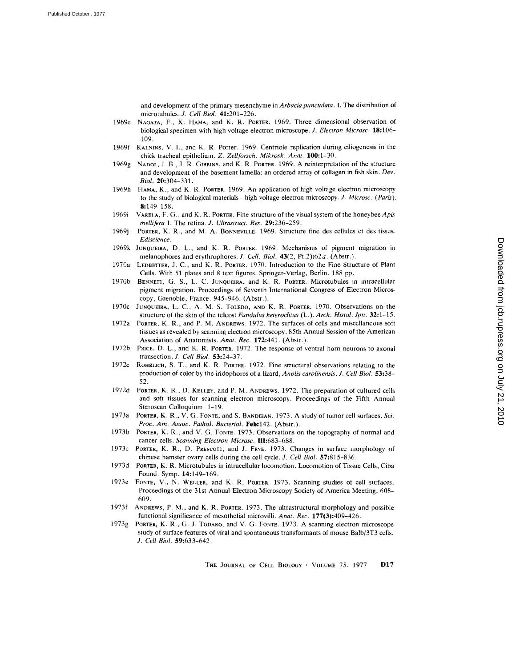and development of the primary mesenchyme in *Arbacia punctulata.* I. The distribution of microtubules. *1. Cell Biol.* 41:201-226.

- 1969e NAGATA, F., K. HAMA, and K. R. PORTER. 1969. Three dimensional observation of biological specimen with high voltage electron microscope. *J. Electron Microsc.* 18:106- 109.
- 1969f KALNINS, V. I., and K. R. Porter. 1969. Centriole replication during ciliogenesis in the chick tracheal epithelium. *Z. Zeilforsch. Mikrosk. Anal.* 100:l-30.
- 1969g NADOL, **J.** B., J. R. GIBBINS, and K. R. PORTER. 1969. A reinterpretation of the structure and development of the basement lamella: an ordered array of collagen in fish skin. *Dev. Bid.* 20:304-331.
- 1969h HAMA, K., and K. R. PORTER. 1969. An application of high voltage electron microscopy to the study of biological materials-high voltage electron microscopy. *J. Mtcrosc. (Paris).*  8:149-158.
- 19691 VARELA. F. G., and K. **R.** PORTER. Fine structure of the visual system of the honeybee *Apis meliifera* 1. The retina. *J. Ultrastruct. Res.* 29:236-259.
- 1969j PORTER, K. R., and **M.** A. BONNEVILLE. 1969. Structure fine des cellules et des tissus. *Ediscience.*
- 1969k JL'NQL'EIRA, D. **L.,** and K. R. PORTER. 1969. Mechanisms of pigment migration in melanophores and erythrophores. *J. Cell. Biol.* 43(2, Pt.2):62a. (Abstr.).
- 1970a LEDBETTER, J. C.. and K. R. PORTER. 1970. Introduction to the Fine Structure of Plant Cells. With 51 plates and 8 text figures. Springer-Verlag, Berlin. 188 pp.
- 1970b BENNETT, G. S., L. C. JUNQUEIRA, and K. R. PORTER. Microtubules in intracellular pigment migration. Proceedings of Seventh International Congress of Electron Microscopy, Grenoble, France. 945-946. (Abstr.).
- JUNQUEIRA, L.C., A. M. S. TOLEDO, AND K. **R.** PORTER. 1970. Observations on the structure of the skin of the teleost *Fundulus heteroclitus* (L.). *Arch. Histol. Jpn.* 32:l-15.
- $1972a$ PORTER, K. R., and P. M. ANDREWS. 1972. The surfaces of cells and miscellaneous soft tissues as revealed by scanning electron microscopy. 85th Annual Session of the American Association of Anatomists. *Anat. Rec.* 172:441. (Abstr.).
- $1972<sub>b</sub>$ PRICE, D. L., and K. R. PORTER. 1972. The response of ventral horn neurons to axonal transection. *J. Cell Biol.* 5324-37.
- 1972c ROHRLICH, S. T., and K. R. PORTER. 1972. Fine structural observations relating to the production of color by the iridophores of a lizard, *Anolis carolinensis. J. Cell Bioi.* 53:38- 52.
- 1972d PORTER, K. R., D. KELLEY, and P. M. ANDREWS. 1972. The preparation of cultured cells and soft tissues for scanning electron microscopy. Proceedings of the Fifth Annual Steroscan Colloquium. 1-19.
- $1973a$ PORTER, K. R., V. G. FONTE, and S. BANDEIAN. 1973. A study of tumor cell surfaces. Sci. *Proc. Am. Assoc. Pathol. Bacteriol.* Feb:142. (Abstr.).
- 1973<sub>b</sub> PORTER, K. R., and V. G. FONTE. 1973. Observations on the topography of normal and cancer cells. *Scanning Electron Microsc.* 111:683-688.
- 1973c PORTER, K. R., D. PRESCOTT, and J. FRYE. 1973. Changes in surface morphology of chinese hamster ovary cells during the cell cycle. *J. Cell Biol.* 57:815-836.
- 1973d PORTER, K. R. Microtubules in intracellular locomotion. Locomotion of Tissue Cells, Ciba Found. Symp. 14149-169.
- 1973e Fonte, V., N. WELLER, and K. R. Porter. 1973. Scanning studies of cell surfaces. Proceedings of the 31st Annual Electron Microscopy Society of America Meeting. 608- 609.
- $1973f$ ANDREWS, P.**M..** and K. **R.** PORTER. 1973. The ultrastructural morphology and possible functional significance of mesothelial microviIli. *Anat. Rec.* 177(3):409-426.
- 1973g PORTER, K. R., G. J. TODARO, and V. G. FONTE. 1973. A scanning electron microscope study of surface features of viral and spontaneous transformants of mouse Balb/3T3 cells. *J. Cell Biol.* 59:633-642.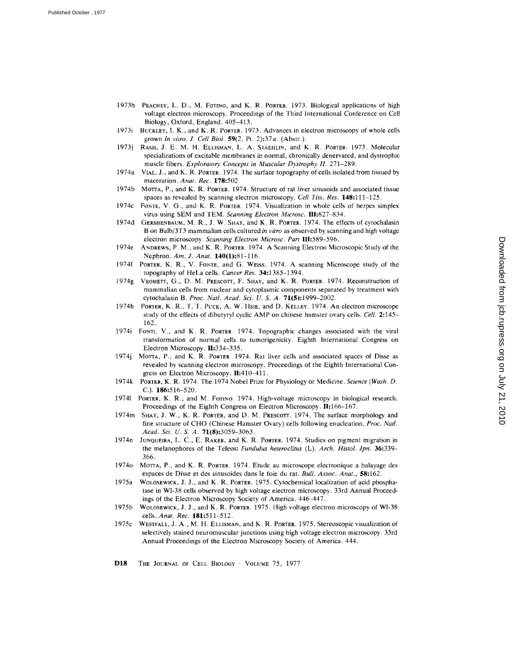- 1973h PEACHEY, L. D., M. FOTINO, and K. R. PORTER. 1973. Biological applications of high voltage electron microscopy. Proceedings of the Third International Conference on Cell Biology, Oxford, England. 405-413.
- 1973i BUCKLEY, I. K., and K. R. PORTER. 1973. Advances in electron microscopy of whole cells grown *In vitro. I. Cell Biol.* 59(2, Pt. 2):37a. (Abstr.).
- 1973j RASH, J. E. M. H. ELLISMAN, L. **A.** STAEHLIN, and **K.** R. PORTER. 1973. Molecular specializations of excitable membranes in normal, chronically denervated, and dystrophic muscle fibers. *Exploratory Concepts in Muscular Dystrophy II.* 271-289.
- 1974a VIAL, J., and K. R. PORTER. 1974. The surface topography of cells isolated from tissued by maceration. *Anat. Rec.* 178:502.
- 1974b MOTTA, P., and K. R. PORTER. 1974. Structure of rat liver sinusoids and associated tissue spaces as revealed by scanning electron microscopy. *Cell Tiss. Res.* **148:**111-125.
- 1974c FONTE, V. G., and K. **R.** PORTER. 1974. Visualization in whole cells of herpes simplex virus using SEM and 'EM. *Scanning Electron Microsc.* III:827-834.
- 1974d GERSHENBAUM, M. R., **J.** W. SHAY, and K. R. PORTER. 1974. The effects of cytochalasin **B** on Balb/3T3 mammalian cells culturedin *vitro* as observed by scanning and high voltage electron microscopy. *Scanning Electron Microsc. Part* III:589-596.
- 1974e ANDREWS, P. M., and K. R. PORTER. 1974. A Scanning Electron Microscopic Study of the Nephron. *Am. J. Anar.* 140(1):81-116.
- 1974f PORTER, K. R., V. FONTE, and G. WEISS. 1974. A scanning Microscope study of the topography of HeLa cells. *Cancer Res.* 34:1385-1394.
- 1974g VEOMETT, *G.,* D. M. PRESCOTT, F. SHAY, and K. R. PORTER. 1974. Reconstruction of mammalian cells from nuclear and cytoplasmic components separated by treatment with cytochalasin B. *Proc. Natl. Acad. Sci.* **U. S.** *A.* 71(5):1999-2002.
- 1974h PORTER, K. R., T. T. PUCK, A. W. HSIE, and D. KELLEY. 1974. An electron microscope study of the effects of dibutyryl cyclic AMP on chinese hamster ovary cells. *Cell.* 2:145- 162.
- 1974i FONTI, V., and K. R. PORTER. 1974. Topographic changes associated with the viral transformation of normal cells to tumorigenicity. Eighth International Congress on Electron Microscopy. II:334-335.
- 1974~ MOTTA, P., and K. R. PORTER. 1974. Rat liver cells and associated spaces of Disse as revealed by scanning electron microscopy. Proceedings of the Eighth International Congress on Electron Microscopy. 11:410-411.
- 1974k PORTER, K. R. 1974. The 1974 Nobel Prize for Physiology or Medicine. *Science* {Wash. *D. C.*) **186:**516-520.
- 19741 PORTER, **K.** R., and M. FOTINO. 1974. High-voltage microscopy in biological research. Proceedings of the Eighth Congress on Electron Microscopy. 11:166-167.
- 1974m SHAY, **J.** W., K. R. PORTER, and D. M. PRESCOTT. 1974. The surface morphology and fine structure of CHO (Chinese Hamster Ovary) cells following enucleation. *Proc. Nail. Acad. Sci. U. S. A.* 71(8):3059-3063.
- 197411 JUNQUEIRA, L. **C.,** E. RAKER, and K. R. PORTER. 1974. Studies on pigment migration in the melanophores of the Teleost *Fundulus heteroclitus* (L). *Arch. Hisiol. Jpn.* 36:339- 366.
- 19740 MOTTA, P., and K. R. PORTER. 1974. Etude au microscope electronique a balayage des espaces de Disse et des sinusoides dans Ie foie du rat. *Bull. Assoc. Anal.,* 58:162.
- 1975a WOLOSEWICK, J. **J.,** and **K.** R. PORTER. 1975. Cytochemical localization of acid phosphatase in WI-38 cells observed by high voltage electron microscopy. 33rd Annual Proceedings of the Electron Microscopy Society of America. 446-447.
- 1975b WOLOSEWICK, **J. J.,** and K. R. PORTER. 1975. High voltage electron microscopy of WI-38 cells. *Anat. Rec.* 181:511-512.
- 1975c WESTFALL, J. A., M. H. ELLISMAN, and K. R. PORTER. 1975. Stereoscopic visualization of selectively stained neuromuscular junctions using high voltage electron microscopy. 33rd Annual Proceedings of the Electron Microscopy Society of America. 444.
- D<sub>18</sub> THE JOURNAL OF CELL BIOLOGY · VOLUME 75, 1977